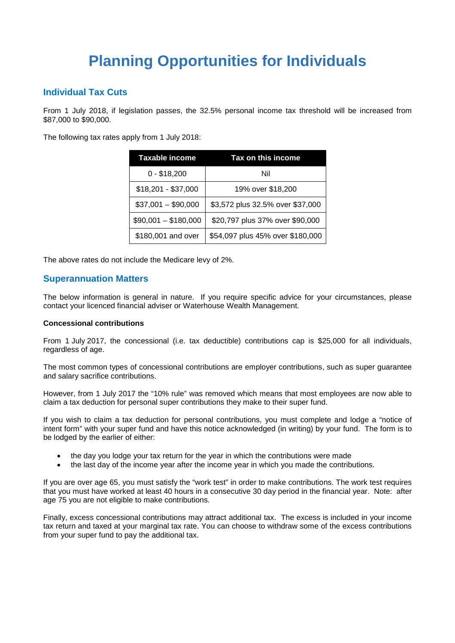# **Planning Opportunities for Individuals**

# **Individual Tax Cuts**

From 1 July 2018, if legislation passes, the 32.5% personal income tax threshold will be increased from \$87,000 to \$90,000.

The following tax rates apply from 1 July 2018:

| Taxable income       | Tax on this income               |  |
|----------------------|----------------------------------|--|
| $0 - $18,200$        | Nil                              |  |
| $$18,201 - $37,000$  | 19% over \$18,200                |  |
| $$37,001 - $90,000$  | \$3,572 plus 32.5% over \$37,000 |  |
| $$90,001 - $180,000$ | \$20,797 plus 37% over \$90,000  |  |
| \$180,001 and over   | \$54,097 plus 45% over \$180,000 |  |

The above rates do not include the Medicare levy of 2%.

## **Superannuation Matters**

The below information is general in nature. If you require specific advice for your circumstances, please contact your licenced financial adviser or Waterhouse Wealth Management.

#### **Concessional contributions**

From 1 July 2017, the concessional (i.e. tax deductible) contributions cap is \$25,000 for all individuals, regardless of age.

The most common types of concessional contributions are employer contributions, such as super guarantee and salary sacrifice contributions.

However, from 1 July 2017 the "10% rule" was removed which means that most employees are now able to claim a tax deduction for personal super contributions they make to their super fund.

If you wish to claim a tax deduction for personal contributions, you must complete and lodge a "notice of intent form" with your super fund and have this notice acknowledged (in writing) by your fund. The form is to be lodged by the earlier of either:

- the day you lodge your tax return for the year in which the contributions were made
- the last day of the income year after the income year in which you made the contributions.

If you are over age 65, you must satisfy the "work test" in order to make contributions. The work test requires that you must have worked at least 40 hours in a consecutive 30 day period in the financial year. Note: after age 75 you are not eligible to make contributions.

Finally, excess concessional contributions may attract additional tax. The excess is included in your income tax return and taxed at your marginal tax rate. You can choose to withdraw some of the excess contributions from your super fund to pay the additional tax.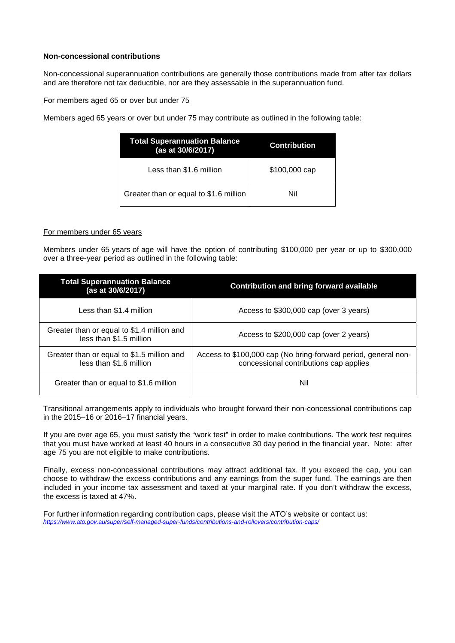#### **Non-concessional contributions**

Non-concessional superannuation contributions are generally those contributions made from after tax dollars and are therefore not tax deductible, nor are they assessable in the superannuation fund.

#### For members aged 65 or over but under 75

Members aged 65 years or over but under 75 may contribute as outlined in the following table:

| <b>Total Superannuation Balance</b><br>(as at 30/6/2017) | <b>Contribution</b> |  |
|----------------------------------------------------------|---------------------|--|
| Less than \$1.6 million                                  | \$100,000 cap       |  |
| Greater than or equal to \$1.6 million                   | Nil                 |  |

#### For members under 65 years

Members under 65 years of age will have the option of contributing \$100,000 per year or up to \$300,000 over a three-year period as outlined in the following table:

| <b>Total Superannuation Balance</b><br>(as at 30/6/2017)              | <b>Contribution and bring forward available</b>                                                          |  |
|-----------------------------------------------------------------------|----------------------------------------------------------------------------------------------------------|--|
| Less than \$1.4 million                                               | Access to \$300,000 cap (over 3 years)                                                                   |  |
| Greater than or equal to \$1.4 million and<br>less than \$1.5 million | Access to \$200,000 cap (over 2 years)                                                                   |  |
| Greater than or equal to \$1.5 million and<br>less than \$1.6 million | Access to \$100,000 cap (No bring-forward period, general non-<br>concessional contributions cap applies |  |
| Greater than or equal to \$1.6 million                                | Nil                                                                                                      |  |

Transitional arrangements apply to individuals who brought forward their non-concessional contributions cap in the 2015–16 or 2016–17 financial years.

If you are over age 65, you must satisfy the "work test" in order to make contributions. The work test requires that you must have worked at least 40 hours in a consecutive 30 day period in the financial year. Note: after age 75 you are not eligible to make contributions.

Finally, excess non-concessional contributions may attract additional tax. If you exceed the cap, you can choose to withdraw the excess contributions and any earnings from the super fund. The earnings are then included in your income tax assessment and taxed at your marginal rate. If you don't withdraw the excess, the excess is taxed at 47%.

For further information regarding contribution caps, please visit the ATO's website or contact us: *https://www.ato.gov.au/super/self-managed-super-funds/contributions-and-rollovers/contribution-caps/*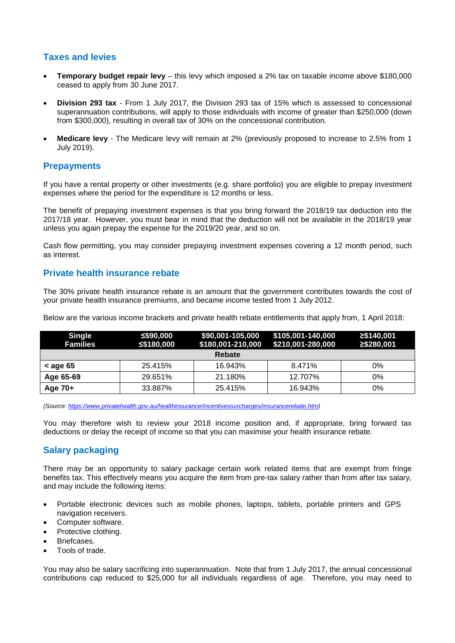# **Taxes and levies**

- **Temporary budget repair levy**  this levy which imposed a 2% tax on taxable income above \$180,000 ceased to apply from 30 June 2017.
- **Division 293 tax** From 1 July 2017, the Division 293 tax of 15% which is assessed to concessional superannuation contributions, will apply to those individuals with income of greater than \$250,000 (down from \$300,000), resulting in overall tax of 30% on the concessional contribution.
- **Medicare levy**  The Medicare levy will remain at 2% (previously proposed to increase to 2.5% from 1 July 2019).

# **Prepayments**

If you have a rental property or other investments (e.g. share portfolio) you are eligible to prepay investment expenses where the period for the expenditure is 12 months or less.

The benefit of prepaying investment expenses is that you bring forward the 2018/19 tax deduction into the 2017/18 year. However, you must bear in mind that the deduction will not be available in the 2018/19 year unless you again prepay the expense for the 2019/20 year, and so on.

Cash flow permitting, you may consider prepaying investment expenses covering a 12 month period, such as interest.

# **Private health insurance rebate**

The 30% private health insurance rebate is an amount that the government contributes towards the cost of your private health insurance premiums, and became income tested from 1 July 2012.

Below are the various income brackets and private health rebate entitlements that apply from, 1 April 2018:

| <b>Single</b><br><b>Families</b> | ≤\$90,000<br>≤\$180,000 | \$90,001-105,000<br>\$180,001-210,000 | \$105,001-140,000<br>\$210,001-280,000 | ≥\$140.001<br>≥\$280,001 |
|----------------------------------|-------------------------|---------------------------------------|----------------------------------------|--------------------------|
|                                  |                         | Rebate                                |                                        |                          |
| $<$ age 65                       | 25.415%                 | 16.943%                               | 8.471%                                 | 0%                       |
| Age 65-69                        | 29.651%                 | 21.180%                               | 12.707%                                | 0%                       |
| Age 70+                          | 33.887%                 | 25.415%                               | 16.943%                                | 0%                       |

*(Source: https://www.privatehealth.gov.au/healthinsurance/incentivessurcharges/insurancerebate.htm)* 

You may therefore wish to review your 2018 income position and, if appropriate, bring forward tax deductions or delay the receipt of income so that you can maximise your health insurance rebate.

# **Salary packaging**

There may be an opportunity to salary package certain work related items that are exempt from fringe benefits tax. This effectively means you acquire the item from pre-tax salary rather than from after tax salary, and may include the following items:

- Portable electronic devices such as mobile phones, laptops, tablets, portable printers and GPS navigation receivers.
- Computer software.
- Protective clothing.
- Briefcases.
- Tools of trade.

You may also be salary sacrificing into superannuation. Note that from 1 July 2017, the annual concessional contributions cap reduced to \$25,000 for all individuals regardless of age. Therefore, you may need to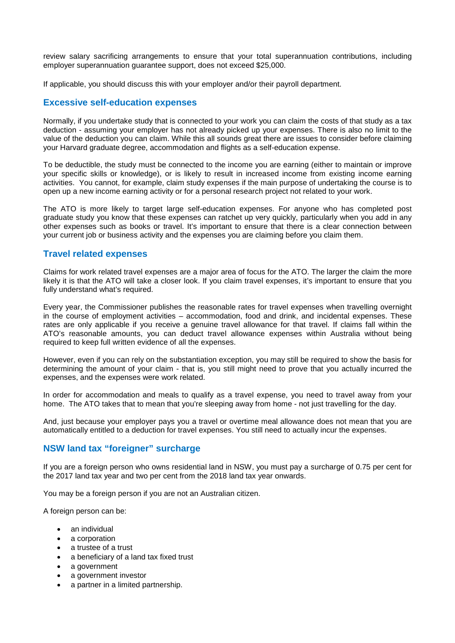review salary sacrificing arrangements to ensure that your total superannuation contributions, including employer superannuation guarantee support, does not exceed \$25,000.

If applicable, you should discuss this with your employer and/or their payroll department.

#### **Excessive self-education expenses**

Normally, if you undertake study that is connected to your work you can claim the costs of that study as a tax deduction - assuming your employer has not already picked up your expenses. There is also no limit to the value of the deduction you can claim. While this all sounds great there are issues to consider before claiming your Harvard graduate degree, accommodation and flights as a self-education expense.

To be deductible, the study must be connected to the income you are earning (either to maintain or improve your specific skills or knowledge), or is likely to result in increased income from existing income earning activities. You cannot, for example, claim study expenses if the main purpose of undertaking the course is to open up a new income earning activity or for a personal research project not related to your work.

The ATO is more likely to target large self-education expenses. For anyone who has completed post graduate study you know that these expenses can ratchet up very quickly, particularly when you add in any other expenses such as books or travel. It's important to ensure that there is a clear connection between your current job or business activity and the expenses you are claiming before you claim them.

#### **Travel related expenses**

Claims for work related travel expenses are a major area of focus for the ATO. The larger the claim the more likely it is that the ATO will take a closer look. If you claim travel expenses, it's important to ensure that you fully understand what's required.

Every year, the Commissioner publishes the reasonable rates for travel expenses when travelling overnight in the course of employment activities – accommodation, food and drink, and incidental expenses. These rates are only applicable if you receive a genuine travel allowance for that travel. If claims fall within the ATO's reasonable amounts, you can deduct travel allowance expenses within Australia without being required to keep full written evidence of all the expenses.

However, even if you can rely on the substantiation exception, you may still be required to show the basis for determining the amount of your claim - that is, you still might need to prove that you actually incurred the expenses, and the expenses were work related.

In order for accommodation and meals to qualify as a travel expense, you need to travel away from your home. The ATO takes that to mean that you're sleeping away from home - not just travelling for the day.

And, just because your employer pays you a travel or overtime meal allowance does not mean that you are automatically entitled to a deduction for travel expenses. You still need to actually incur the expenses.

## **NSW land tax "foreigner" surcharge**

If you are a foreign person who owns residential land in NSW, you must pay a surcharge of 0.75 per cent for the 2017 land tax year and two per cent from the 2018 land tax year onwards.

You may be a foreign person if you are not an Australian citizen.

A foreign person can be:

- an individual
- a corporation
- a trustee of a trust
- a beneficiary of a land tax fixed trust
- a government
- a government investor
- a partner in a limited partnership.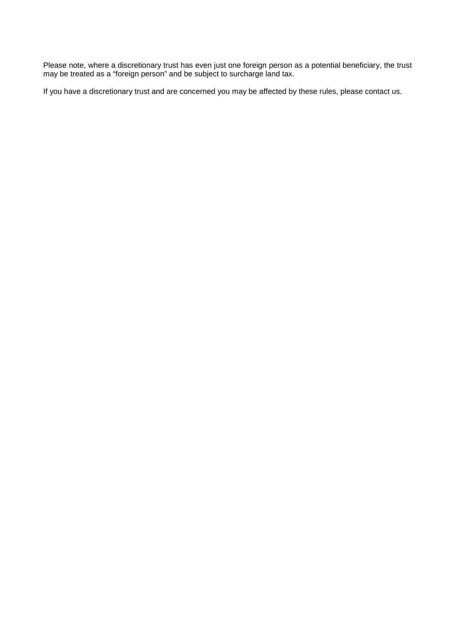Please note, where a discretionary trust has even just one foreign person as a potential beneficiary, the trust may be treated as a "foreign person" and be subject to surcharge land tax.

If you have a discretionary trust and are concerned you may be affected by these rules, please contact us.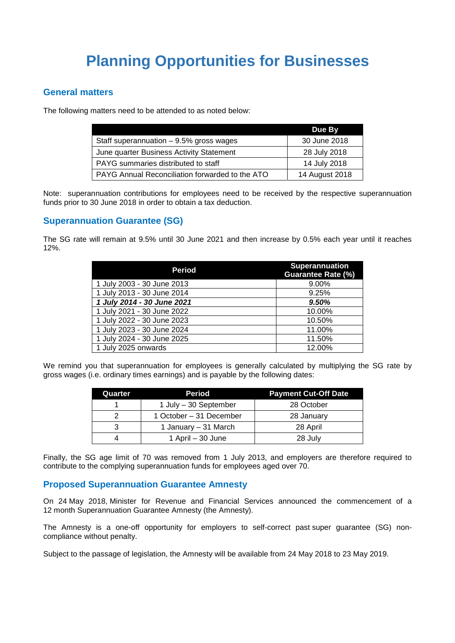# **Planning Opportunities for Businesses**

## **General matters**

The following matters need to be attended to as noted below:

|                                                 | <b>Due By</b>  |
|-------------------------------------------------|----------------|
| Staff superannuation $-9.5%$ gross wages        | 30 June 2018   |
| June quarter Business Activity Statement        | 28 July 2018   |
| PAYG summaries distributed to staff             | 14 July 2018   |
| PAYG Annual Reconciliation forwarded to the ATO | 14 August 2018 |

Note: superannuation contributions for employees need to be received by the respective superannuation funds prior to 30 June 2018 in order to obtain a tax deduction.

# **Superannuation Guarantee (SG)**

The SG rate will remain at 9.5% until 30 June 2021 and then increase by 0.5% each year until it reaches 12%.

| Period                     | Superannuation<br><b>Guarantee Rate (%)</b> |
|----------------------------|---------------------------------------------|
| 1 July 2003 - 30 June 2013 | 9.00%                                       |
| 1 July 2013 - 30 June 2014 | 9.25%                                       |
| 1 July 2014 - 30 June 2021 | 9.50%                                       |
| 1 July 2021 - 30 June 2022 | 10.00%                                      |
| 1 July 2022 - 30 June 2023 | 10.50%                                      |
| 1 July 2023 - 30 June 2024 | 11.00%                                      |
| 1 July 2024 - 30 June 2025 | 11.50%                                      |
| 1 July 2025 onwards        | 12.00%                                      |

We remind you that superannuation for employees is generally calculated by multiplying the SG rate by gross wages (i.e. ordinary times earnings) and is payable by the following dates:

| Quarter                   | Period                  | <b>Payment Cut-Off Date</b> |  |
|---------------------------|-------------------------|-----------------------------|--|
| 1 July - 30 September     |                         | 28 October                  |  |
|                           | 1 October - 31 December | 28 January                  |  |
| 1 January – 31 March<br>3 |                         | 28 April                    |  |
|                           | 1 April $-30$ June      | 28 July                     |  |

Finally, the SG age limit of 70 was removed from 1 July 2013, and employers are therefore required to contribute to the complying superannuation funds for employees aged over 70.

## **Proposed Superannuation Guarantee Amnesty**

On 24 May 2018, Minister for Revenue and Financial Services announced the commencement of a 12 month Superannuation Guarantee Amnesty (the Amnesty).

The Amnesty is a one-off opportunity for employers to self-correct past super guarantee (SG) noncompliance without penalty.

Subject to the passage of legislation, the Amnesty will be available from 24 May 2018 to 23 May 2019.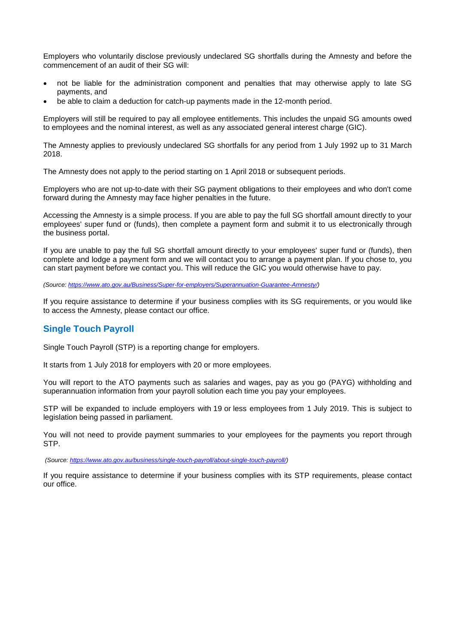Employers who voluntarily disclose previously undeclared SG shortfalls during the Amnesty and before the commencement of an audit of their SG will:

- not be liable for the administration component and penalties that may otherwise apply to late SG payments, and
- be able to claim a deduction for catch-up payments made in the 12-month period.

Employers will still be required to pay all employee entitlements. This includes the unpaid SG amounts owed to employees and the nominal interest, as well as any associated general interest charge (GIC).

The Amnesty applies to previously undeclared SG shortfalls for any period from 1 July 1992 up to 31 March 2018.

The Amnesty does not apply to the period starting on 1 April 2018 or subsequent periods.

Employers who are not up-to-date with their SG payment obligations to their employees and who don't come forward during the Amnesty may face higher penalties in the future.

Accessing the Amnesty is a simple process. If you are able to pay the full SG shortfall amount directly to your employees' super fund or (funds), then complete a payment form and submit it to us electronically through the business portal.

If you are unable to pay the full SG shortfall amount directly to your employees' super fund or (funds), then complete and lodge a payment form and we will contact you to arrange a payment plan. If you chose to, you can start payment before we contact you. This will reduce the GIC you would otherwise have to pay.

*(Source: https://www.ato.gov.au/Business/Super-for-employers/Superannuation-Guarantee-Amnesty/)* 

If you require assistance to determine if your business complies with its SG requirements, or you would like to access the Amnesty, please contact our office.

## **Single Touch Payroll**

Single Touch Payroll (STP) is a reporting change for employers.

It starts from 1 July 2018 for employers with 20 or more employees.

You will report to the ATO payments such as salaries and wages, pay as you go (PAYG) withholding and superannuation information from your payroll solution each time you pay your employees.

STP will be expanded to include employers with 19 or less employees from 1 July 2019. This is subject to legislation being passed in parliament.

You will not need to provide payment summaries to your employees for the payments you report through STP.

 *(Source: https://www.ato.gov.au/business/single-touch-payroll/about-single-touch-payroll/)* 

If you require assistance to determine if your business complies with its STP requirements, please contact our office.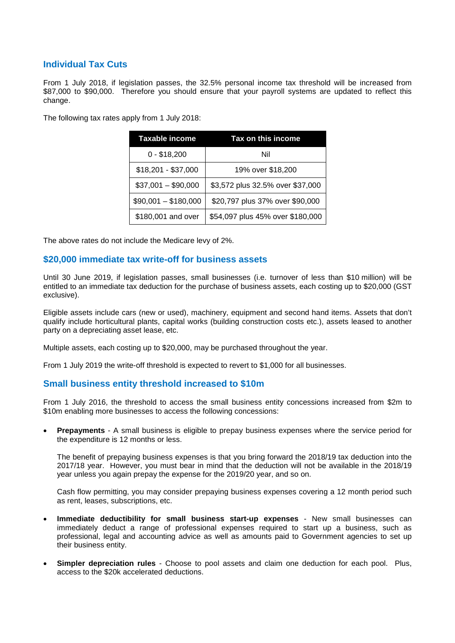# **Individual Tax Cuts**

From 1 July 2018, if legislation passes, the 32.5% personal income tax threshold will be increased from \$87,000 to \$90,000. Therefore you should ensure that your payroll systems are updated to reflect this change.

The following tax rates apply from 1 July 2018:

| Taxable income       | Tax on this income               |  |
|----------------------|----------------------------------|--|
| $0 - $18,200$        | Nil                              |  |
| $$18,201 - $37,000$  | 19% over \$18,200                |  |
| $$37,001 - $90,000$  | \$3,572 plus 32.5% over \$37,000 |  |
| $$90,001 - $180,000$ | \$20,797 plus 37% over \$90,000  |  |
| \$180,001 and over   | \$54,097 plus 45% over \$180,000 |  |

The above rates do not include the Medicare levy of 2%.

#### **\$20,000 immediate tax write-off for business assets**

Until 30 June 2019, if legislation passes, small businesses (i.e. turnover of less than \$10 million) will be entitled to an immediate tax deduction for the purchase of business assets, each costing up to \$20,000 (GST exclusive).

Eligible assets include cars (new or used), machinery, equipment and second hand items. Assets that don't qualify include horticultural plants, capital works (building construction costs etc.), assets leased to another party on a depreciating asset lease, etc.

Multiple assets, each costing up to \$20,000, may be purchased throughout the year.

From 1 July 2019 the write-off threshold is expected to revert to \$1,000 for all businesses.

#### **Small business entity threshold increased to \$10m**

From 1 July 2016, the threshold to access the small business entity concessions increased from \$2m to \$10m enabling more businesses to access the following concessions:

• **Prepayments** - A small business is eligible to prepay business expenses where the service period for the expenditure is 12 months or less.

The benefit of prepaying business expenses is that you bring forward the 2018/19 tax deduction into the 2017/18 year. However, you must bear in mind that the deduction will not be available in the 2018/19 year unless you again prepay the expense for the 2019/20 year, and so on.

Cash flow permitting, you may consider prepaying business expenses covering a 12 month period such as rent, leases, subscriptions, etc.

- **Immediate deductibility for small business start-up expenses** New small businesses can immediately deduct a range of professional expenses required to start up a business, such as professional, legal and accounting advice as well as amounts paid to Government agencies to set up their business entity.
- **Simpler depreciation rules** Choose to pool assets and claim one deduction for each pool. Plus, access to the \$20k accelerated deductions.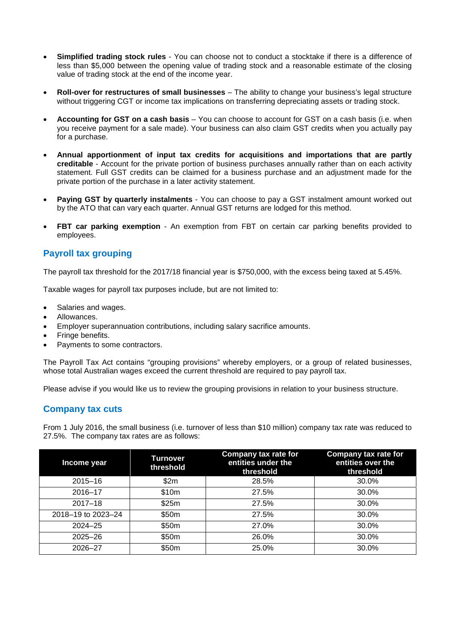- **Simplified trading stock rules** You can choose not to conduct a stocktake if there is a difference of less than \$5,000 between the opening value of trading stock and a reasonable estimate of the closing value of trading stock at the end of the income year.
- **Roll-over for restructures of small businesses** The ability to change your business's legal structure without triggering CGT or income tax implications on transferring depreciating assets or trading stock.
- **Accounting for GST on a cash basis** You can choose to account for GST on a cash basis (i.e. when you receive payment for a sale made). Your business can also claim GST credits when you actually pay for a purchase.
- **Annual apportionment of input tax credits for acquisitions and importations that are partly creditable** - Account for the private portion of business purchases annually rather than on each activity statement. Full GST credits can be claimed for a business purchase and an adjustment made for the private portion of the purchase in a later activity statement.
- **Paying GST by quarterly instalments** You can choose to pay a GST instalment amount worked out by the ATO that can vary each quarter. Annual GST returns are lodged for this method.
- **FBT car parking exemption** An exemption from FBT on certain car parking benefits provided to employees.

# **Payroll tax grouping**

The payroll tax threshold for the 2017/18 financial year is \$750,000, with the excess being taxed at 5.45%.

Taxable wages for payroll tax purposes include, but are not limited to:

- Salaries and wages.
- Allowances.
- Employer superannuation contributions, including salary sacrifice amounts.
- Fringe benefits.
- Payments to some contractors.

The Payroll Tax Act contains "grouping provisions" whereby employers, or a group of related businesses, whose total Australian wages exceed the current threshold are required to pay payroll tax.

Please advise if you would like us to review the grouping provisions in relation to your business structure.

## **Company tax cuts**

From 1 July 2016, the small business (i.e. turnover of less than \$10 million) company tax rate was reduced to 27.5%. The company tax rates are as follows:

| Income year        | <b>Turnover</b><br>threshold | Company tax rate for<br>entities under the<br>threshold | Company tax rate for<br>entities over the<br>threshold |
|--------------------|------------------------------|---------------------------------------------------------|--------------------------------------------------------|
| $2015 - 16$        | \$2m                         | 28.5%                                                   | 30.0%                                                  |
| $2016 - 17$        | \$10m                        | 27.5%                                                   | 30.0%                                                  |
| $2017 - 18$        | \$25m                        | 27.5%                                                   | 30.0%                                                  |
| 2018-19 to 2023-24 | \$50m                        | 27.5%                                                   | 30.0%                                                  |
| $2024 - 25$        | \$50m                        | 27.0%                                                   | 30.0%                                                  |
| $2025 - 26$        | \$50m                        | 26.0%                                                   | 30.0%                                                  |
| 2026-27            | \$50m                        | 25.0%                                                   | 30.0%                                                  |